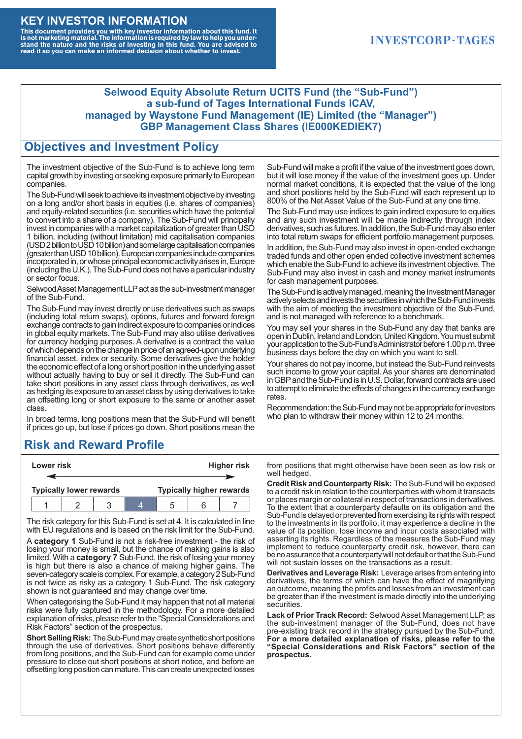#### **KEY INVESTOR INFORMATION**

This document provides you with key investor information about this fund. It<br>is not marketing material. The information is required by law to help you under-<br>stand the nature and the risks of investing in this fund. You ar

### **INVESTCORP-TAGES**

#### **Selwood Equity Absolute Return UCITS Fund (the "Sub-Fund") a sub-fund of Tages International Funds ICAV, managed by Waystone Fund Management (IE) Limited (the "Manager") GBP Management Class Shares (IE000KEDIEK7)**

#### **Objectives and Investment Policy**

The investment objective of the Sub-Fund is to achieve long term capital growth by investing or seeking exposure primarily to European companies.

The Sub-Fund will seek to achieve its investment objective by investing on a long and/or short basis in equities (i.e. shares of companies) and equity-related securities (i.e. securities which have the potential to convert into a share of a company). The Sub-Fund will principally invest in companies with a market capitalization of greater than USD 1 billion, including (without limitation) mid capitalisation companies (USD 2 billion to USD 10 billion) and some large capitalisation companies (greaterthanUSD10billion).European companiesinclude companies incorporated in, or whose principal economic activity arises in, Europe (including the U.K.). The Sub-Fund does not have a particular industry or sector focus.

Selwood Asset Management LLP act as the sub-investment manager of the Sub-Fund.

The Sub-Fund may invest directly or use derivatives such as swaps (including total return swaps), options, futures and forward foreign exchange contracts to gain indirect exposure to companies or indices in global equity markets. The Sub-Fund may also utilise derivatives for currency hedging purposes. A derivative is a contract the value of which depends on the change in price of an agreed-upon underlying financial asset, index or security. Some derivatives give the holder the economic effect of a long or short position in the underlying asset without actually having to buy or sell it directly. The Sub-Fund can take short positions in any asset class through derivatives, as well as hedging its exposure to an asset class by using derivatives to take an offsetting long or short exposure to the same or another asset class.

In broad terms, long positions mean that the Sub-Fund will benefit if prices go up, but lose if prices go down. Short positions mean the

# **Risk and Reward Profile**

|  | Lower risk |                                |  | <b>Higher risk</b> |                                 |  |
|--|------------|--------------------------------|--|--------------------|---------------------------------|--|
|  |            |                                |  |                    |                                 |  |
|  |            | <b>Typically lower rewards</b> |  |                    | <b>Typically higher rewards</b> |  |
|  |            |                                |  | :5                 |                                 |  |

The risk category for this Sub-Fund is set at 4. It is calculated in line with EU regulations and is based on the risk limit for the Sub-Fund.

A **category 1** Sub-Fund is not a risk-free investment - the risk of losing your money is small, but the chance of making gains is also limited. With a **category 7** Sub-Fund, the risk of losing your money is high but there is also a chance of making higher gains. The seven-category scale is complex. For example, a category 2 Sub-Fund is not twice as risky as a category 1 Sub-Fund. The risk category shown is not guaranteed and may change over time.

When categorising the Sub-Fund it may happen that not all material risks were fully captured in the methodology. For a more detailed explanation of risks, please refer to the "Special Considerations and Risk Factors" section of the prospectus.

**Short Selling Risk:** The Sub-Fund may create synthetic short positions through the use of derivatives. Short positions behave differently from long positions, and the Sub-Fund can for example come under pressure to close out short positions at short notice, and before an offsetting long position can mature. This can create unexpected losses

Sub-Fund will make a profit if the value of the investment goes down, but it will lose money if the value of the investment goes up. Under normal market conditions, it is expected that the value of the long and short positions held by the Sub-Fund will each represent up to 800% of the Net Asset Value of the Sub-Fund at any one time.

The Sub-Fund may use indices to gain indirect exposure to equities and any such investment will be made indirectly through index derivatives, such as futures. In addition, the Sub-Fund may also enter into total return swaps for efficient portfolio management purposes.

In addition, the Sub-Fund may also invest in open-ended exchange traded funds and other open ended collective investment schemes which enable the Sub-Fund to achieve its investment objective. The Sub-Fund may also invest in cash and money market instruments for cash management purposes.

The Sub-Fund is actively managed, meaning the Investment Manager actively selects and invests the securities in which the Sub-Fund invests with the aim of meeting the investment objective of the Sub-Fund, and is not managed with reference to a benchmark.

You may sell your shares in the Sub-Fund any day that banks are open in Dublin, Ireland and London, United Kingdom. You must submit your application to the Sub-Fund's Administrator before 1.00 p.m. three business days before the day on which you want to sell.

Your shares do not pay income, but instead the Sub-Fund reinvests such income to grow your capital. As your shares are denominated in GBP and the Sub-Fund is in U.S. Dollar, forward contracts are used to attempt to eliminate the effects of changes in the currency exchange rates.

Recommendation: the Sub-Fund may not be appropriate for investors who plan to withdraw their money within 12 to 24 months.

from positions that might otherwise have been seen as low risk or well hedged.

**Credit Risk and Counterparty Risk:** The Sub-Fund will be exposed to a credit risk in relation to the counterparties with whom it transacts or places margin or collateral in respect of transactions in derivatives. To the extent that a counterparty defaults on its obligation and the Sub-Fund is delayed or prevented from exercising its rights with respect to the investments in its portfolio, it may experience a decline in the value of its position, lose income and incur costs associated with asserting its rights. Regardless of the measures the Sub-Fund may implement to reduce counterparty credit risk, however, there can be no assurance that a counterparty will not default or that the Sub-Fund will not sustain losses on the transactions as a result.

**Derivatives and Leverage Risk:** Leverage arises from entering into derivatives, the terms of which can have the effect of magnifying an outcome, meaning the profits and losses from an investment can be greater than if the investment is made directly into the underlying **securities**.

**Lack of Prior Track Record:** Selwood Asset Management LLP, as the sub-investment manager of the Sub-Fund, does not have pre-existing track record in the strategy pursued by the Sub-Fund. **For a more detailed explanation of risks, please refer to the "Special Considerations and Risk Factors" section of the prospectus.**